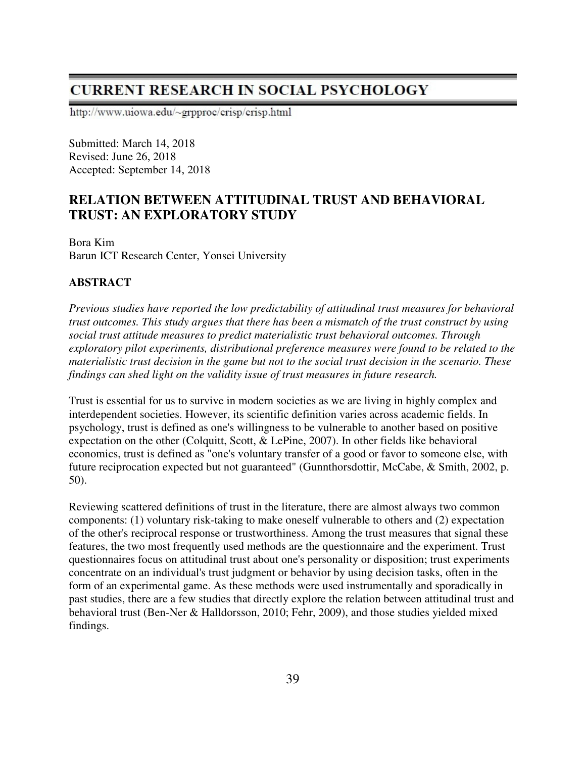# **CURRENT RESEARCH IN SOCIAL PSYCHOLOGY**

http://www.uiowa.edu/~grpproc/crisp/crisp.html

Submitted: March 14, 2018 Revised: June 26, 2018 Accepted: September 14, 2018

# **RELATION BETWEEN ATTITUDINAL TRUST AND BEHAVIORAL TRUST: AN EXPLORATORY STUDY**

Bora Kim Barun ICT Research Center, Yonsei University

# **ABSTRACT**

*Previous studies have reported the low predictability of attitudinal trust measures for behavioral trust outcomes. This study argues that there has been a mismatch of the trust construct by using social trust attitude measures to predict materialistic trust behavioral outcomes. Through exploratory pilot experiments, distributional preference measures were found to be related to the materialistic trust decision in the game but not to the social trust decision in the scenario. These findings can shed light on the validity issue of trust measures in future research.* 

Trust is essential for us to survive in modern societies as we are living in highly complex and interdependent societies. However, its scientific definition varies across academic fields. In psychology, trust is defined as one's willingness to be vulnerable to another based on positive expectation on the other (Colquitt, Scott, & LePine, 2007). In other fields like behavioral economics, trust is defined as "one's voluntary transfer of a good or favor to someone else, with future reciprocation expected but not guaranteed" (Gunnthorsdottir, McCabe, & Smith, 2002, p. 50).

Reviewing scattered definitions of trust in the literature, there are almost always two common components: (1) voluntary risk-taking to make oneself vulnerable to others and (2) expectation of the other's reciprocal response or trustworthiness. Among the trust measures that signal these features, the two most frequently used methods are the questionnaire and the experiment. Trust questionnaires focus on attitudinal trust about one's personality or disposition; trust experiments concentrate on an individual's trust judgment or behavior by using decision tasks, often in the form of an experimental game. As these methods were used instrumentally and sporadically in past studies, there are a few studies that directly explore the relation between attitudinal trust and behavioral trust (Ben-Ner & Halldorsson, 2010; Fehr, 2009), and those studies yielded mixed findings.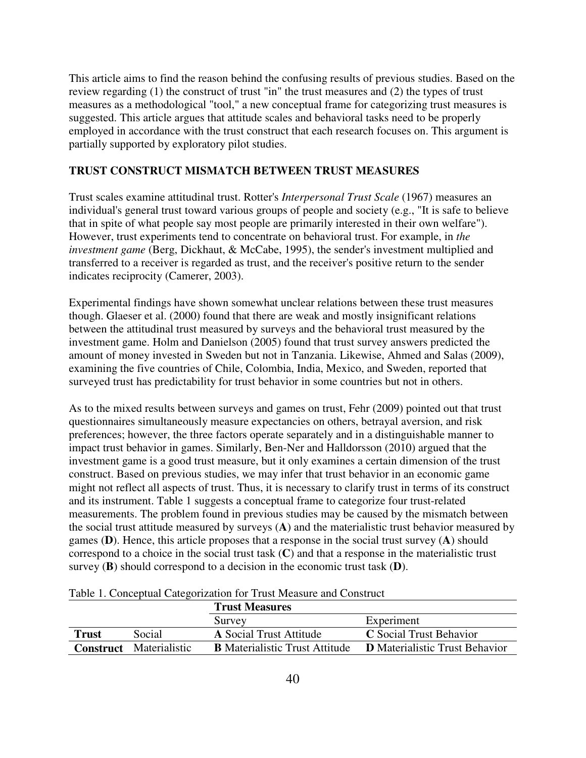This article aims to find the reason behind the confusing results of previous studies. Based on the review regarding (1) the construct of trust "in" the trust measures and (2) the types of trust measures as a methodological "tool," a new conceptual frame for categorizing trust measures is suggested. This article argues that attitude scales and behavioral tasks need to be properly employed in accordance with the trust construct that each research focuses on. This argument is partially supported by exploratory pilot studies.

## **TRUST CONSTRUCT MISMATCH BETWEEN TRUST MEASURES**

Trust scales examine attitudinal trust. Rotter's *Interpersonal Trust Scale* (1967) measures an individual's general trust toward various groups of people and society (e.g., "It is safe to believe that in spite of what people say most people are primarily interested in their own welfare"). However, trust experiments tend to concentrate on behavioral trust. For example, in *the investment game* (Berg, Dickhaut, & McCabe, 1995), the sender's investment multiplied and transferred to a receiver is regarded as trust, and the receiver's positive return to the sender indicates reciprocity (Camerer, 2003).

Experimental findings have shown somewhat unclear relations between these trust measures though. Glaeser et al. (2000) found that there are weak and mostly insignificant relations between the attitudinal trust measured by surveys and the behavioral trust measured by the investment game. Holm and Danielson (2005) found that trust survey answers predicted the amount of money invested in Sweden but not in Tanzania. Likewise, Ahmed and Salas (2009), examining the five countries of Chile, Colombia, India, Mexico, and Sweden, reported that surveyed trust has predictability for trust behavior in some countries but not in others.

As to the mixed results between surveys and games on trust, Fehr (2009) pointed out that trust questionnaires simultaneously measure expectancies on others, betrayal aversion, and risk preferences; however, the three factors operate separately and in a distinguishable manner to impact trust behavior in games. Similarly, Ben-Ner and Halldorsson (2010) argued that the investment game is a good trust measure, but it only examines a certain dimension of the trust construct. Based on previous studies, we may infer that trust behavior in an economic game might not reflect all aspects of trust. Thus, it is necessary to clarify trust in terms of its construct and its instrument. Table 1 suggests a conceptual frame to categorize four trust-related measurements. The problem found in previous studies may be caused by the mismatch between the social trust attitude measured by surveys (**A**) and the materialistic trust behavior measured by games (**D**). Hence, this article proposes that a response in the social trust survey (**A**) should correspond to a choice in the social trust task (**C**) and that a response in the materialistic trust survey (**B**) should correspond to a decision in the economic trust task (**D**).

|              |                                | <b>Trust Measures</b>                 |                                       |
|--------------|--------------------------------|---------------------------------------|---------------------------------------|
|              |                                | Survey                                | Experiment                            |
| <b>Trust</b> | Social                         | <b>A</b> Social Trust Attitude        | <b>C</b> Social Trust Behavior        |
|              | <b>Construct</b> Materialistic | <b>B</b> Materialistic Trust Attitude | <b>D</b> Materialistic Trust Behavior |

Table 1. Conceptual Categorization for Trust Measure and Construct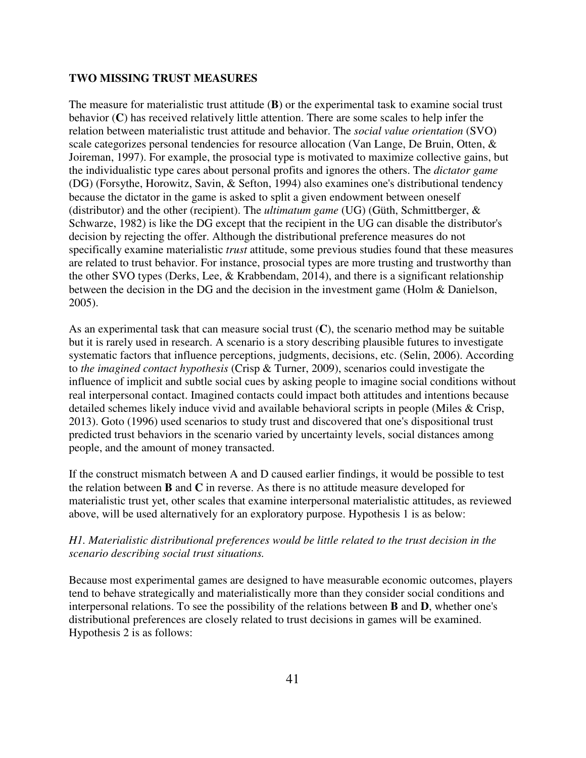#### **TWO MISSING TRUST MEASURES**

The measure for materialistic trust attitude (**B**) or the experimental task to examine social trust behavior (**C**) has received relatively little attention. There are some scales to help infer the relation between materialistic trust attitude and behavior. The *social value orientation* (SVO) scale categorizes personal tendencies for resource allocation (Van Lange, De Bruin, Otten, & Joireman, 1997). For example, the prosocial type is motivated to maximize collective gains, but the individualistic type cares about personal profits and ignores the others. The *dictator game* (DG) (Forsythe, Horowitz, Savin, & Sefton, 1994) also examines one's distributional tendency because the dictator in the game is asked to split a given endowment between oneself (distributor) and the other (recipient). The *ultimatum game* (UG) (Güth, Schmittberger, & Schwarze, 1982) is like the DG except that the recipient in the UG can disable the distributor's decision by rejecting the offer. Although the distributional preference measures do not specifically examine materialistic *trust* attitude, some previous studies found that these measures are related to trust behavior. For instance, prosocial types are more trusting and trustworthy than the other SVO types (Derks, Lee, & Krabbendam, 2014), and there is a significant relationship between the decision in the DG and the decision in the investment game (Holm & Danielson, 2005).

As an experimental task that can measure social trust (**C**), the scenario method may be suitable but it is rarely used in research. A scenario is a story describing plausible futures to investigate systematic factors that influence perceptions, judgments, decisions, etc. (Selin, 2006). According to *the imagined contact hypothesis* (Crisp & Turner, 2009), scenarios could investigate the influence of implicit and subtle social cues by asking people to imagine social conditions without real interpersonal contact. Imagined contacts could impact both attitudes and intentions because detailed schemes likely induce vivid and available behavioral scripts in people (Miles & Crisp, 2013). Goto (1996) used scenarios to study trust and discovered that one's dispositional trust predicted trust behaviors in the scenario varied by uncertainty levels, social distances among people, and the amount of money transacted.

If the construct mismatch between A and D caused earlier findings, it would be possible to test the relation between **B** and **C** in reverse. As there is no attitude measure developed for materialistic trust yet, other scales that examine interpersonal materialistic attitudes, as reviewed above, will be used alternatively for an exploratory purpose. Hypothesis 1 is as below:

### *H1. Materialistic distributional preferences would be little related to the trust decision in the scenario describing social trust situations.*

Because most experimental games are designed to have measurable economic outcomes, players tend to behave strategically and materialistically more than they consider social conditions and interpersonal relations. To see the possibility of the relations between **B** and **D**, whether one's distributional preferences are closely related to trust decisions in games will be examined. Hypothesis 2 is as follows: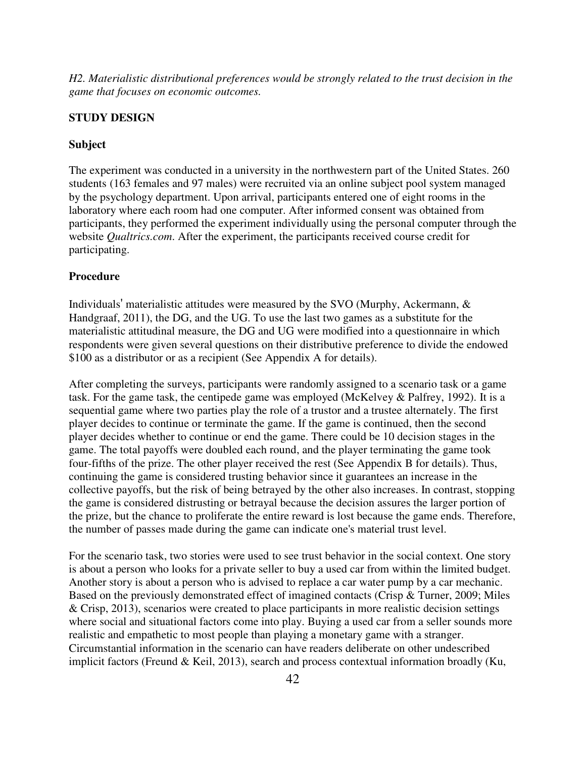*H2. Materialistic distributional preferences would be strongly related to the trust decision in the game that focuses on economic outcomes.* 

# **STUDY DESIGN**

#### **Subject**

The experiment was conducted in a university in the northwestern part of the United States. 260 students (163 females and 97 males) were recruited via an online subject pool system managed by the psychology department. Upon arrival, participants entered one of eight rooms in the laboratory where each room had one computer. After informed consent was obtained from participants, they performed the experiment individually using the personal computer through the website *Qualtrics.com*. After the experiment, the participants received course credit for participating.

#### **Procedure**

Individuals' materialistic attitudes were measured by the SVO (Murphy, Ackermann, & Handgraaf, 2011), the DG, and the UG. To use the last two games as a substitute for the materialistic attitudinal measure, the DG and UG were modified into a questionnaire in which respondents were given several questions on their distributive preference to divide the endowed \$100 as a distributor or as a recipient (See Appendix A for details).

After completing the surveys, participants were randomly assigned to a scenario task or a game task. For the game task, the centipede game was employed (McKelvey & Palfrey, 1992). It is a sequential game where two parties play the role of a trustor and a trustee alternately. The first player decides to continue or terminate the game. If the game is continued, then the second player decides whether to continue or end the game. There could be 10 decision stages in the game. The total payoffs were doubled each round, and the player terminating the game took four-fifths of the prize. The other player received the rest (See Appendix B for details). Thus, continuing the game is considered trusting behavior since it guarantees an increase in the collective payoffs, but the risk of being betrayed by the other also increases. In contrast, stopping the game is considered distrusting or betrayal because the decision assures the larger portion of the prize, but the chance to proliferate the entire reward is lost because the game ends. Therefore, the number of passes made during the game can indicate one's material trust level.

For the scenario task, two stories were used to see trust behavior in the social context. One story is about a person who looks for a private seller to buy a used car from within the limited budget. Another story is about a person who is advised to replace a car water pump by a car mechanic. Based on the previously demonstrated effect of imagined contacts (Crisp & Turner, 2009; Miles & Crisp, 2013), scenarios were created to place participants in more realistic decision settings where social and situational factors come into play. Buying a used car from a seller sounds more realistic and empathetic to most people than playing a monetary game with a stranger. Circumstantial information in the scenario can have readers deliberate on other undescribed implicit factors (Freund & Keil, 2013), search and process contextual information broadly (Ku,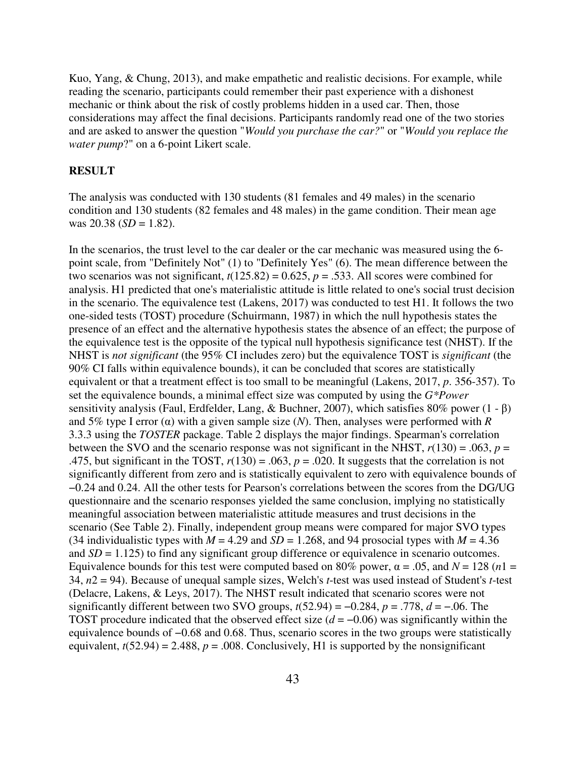Kuo, Yang, & Chung, 2013), and make empathetic and realistic decisions. For example, while reading the scenario, participants could remember their past experience with a dishonest mechanic or think about the risk of costly problems hidden in a used car. Then, those considerations may affect the final decisions. Participants randomly read one of the two stories and are asked to answer the question "*Would you purchase the car?*" or "*Would you replace the water pump*?" on a 6-point Likert scale.

#### **RESULT**

The analysis was conducted with 130 students (81 females and 49 males) in the scenario condition and 130 students (82 females and 48 males) in the game condition. Their mean age was  $20.38$  (*SD* = 1.82).

In the scenarios, the trust level to the car dealer or the car mechanic was measured using the 6 point scale, from "Definitely Not" (1) to "Definitely Yes" (6). The mean difference between the two scenarios was not significant,  $t(125.82) = 0.625$ ,  $p = .533$ . All scores were combined for analysis. H1 predicted that one's materialistic attitude is little related to one's social trust decision in the scenario. The equivalence test (Lakens, 2017) was conducted to test H1. It follows the two one-sided tests (TOST) procedure (Schuirmann, 1987) in which the null hypothesis states the presence of an effect and the alternative hypothesis states the absence of an effect; the purpose of the equivalence test is the opposite of the typical null hypothesis significance test (NHST). If the NHST is *not significant* (the 95% CI includes zero) but the equivalence TOST is *significant* (the 90% CI falls within equivalence bounds), it can be concluded that scores are statistically equivalent or that a treatment effect is too small to be meaningful (Lakens, 2017, *p*. 356-357). To set the equivalence bounds, a minimal effect size was computed by using the *G\*Power* sensitivity analysis (Faul, Erdfelder, Lang, & Buchner, 2007), which satisfies 80% power (1 - β) and 5% type I error (α) with a given sample size (*N*). Then, analyses were performed with *R* 3.3.3 using the *TOSTER* package. Table 2 displays the major findings. Spearman's correlation between the SVO and the scenario response was not significant in the NHST,  $r(130) = .063$ ,  $p =$ .475, but significant in the TOST,  $r(130) = .063$ ,  $p = .020$ . It suggests that the correlation is not significantly different from zero and is statistically equivalent to zero with equivalence bounds of −0.24 and 0.24. All the other tests for Pearson's correlations between the scores from the DG/UG questionnaire and the scenario responses yielded the same conclusion, implying no statistically meaningful association between materialistic attitude measures and trust decisions in the scenario (See Table 2). Finally, independent group means were compared for major SVO types (34 individualistic types with  $M = 4.29$  and  $SD = 1.268$ , and 94 prosocial types with  $M = 4.36$ and  $SD = 1.125$ ) to find any significant group difference or equivalence in scenario outcomes. Equivalence bounds for this test were computed based on 80% power,  $\alpha = .05$ , and  $N = 128$  (*n*1 = 34, *n*2 = 94). Because of unequal sample sizes, Welch's *t*-test was used instead of Student's *t*-test (Delacre, Lakens, & Leys, 2017). The NHST result indicated that scenario scores were not significantly different between two SVO groups,  $t(52.94) = -0.284$ ,  $p = .778$ ,  $d = -.06$ . The TOST procedure indicated that the observed effect size  $(d = -0.06)$  was significantly within the equivalence bounds of −0.68 and 0.68. Thus, scenario scores in the two groups were statistically equivalent,  $t(52.94) = 2.488$ ,  $p = .008$ . Conclusively, H1 is supported by the nonsignificant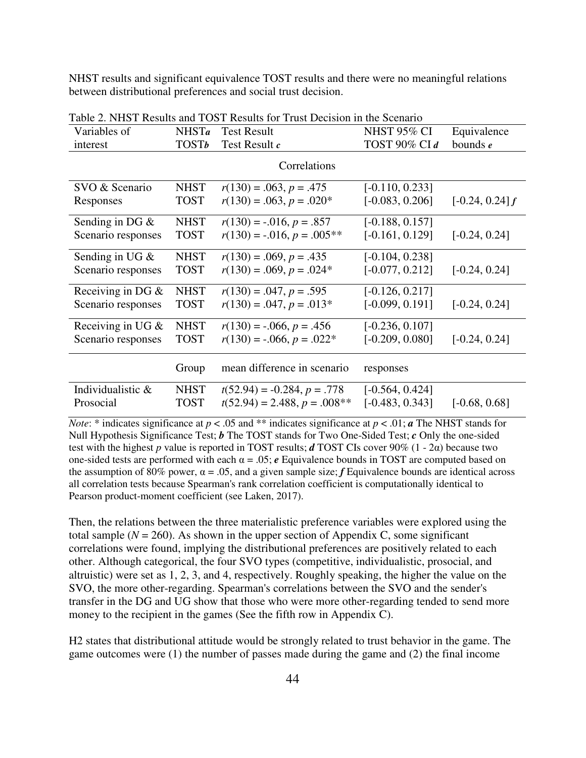NHST results and significant equivalence TOST results and there were no meaningful relations between distributional preferences and social trust decision.

| Variables of        | N <sub>HSTa</sub> | <b>Test Result</b>                | <b>NHST 95% CI</b> | Equivalence       |
|---------------------|-------------------|-----------------------------------|--------------------|-------------------|
| interest            | <b>TOSTb</b>      | Test Result c                     | TOST 90% CI d      | bounds $e$        |
|                     |                   | Correlations                      |                    |                   |
| SVO & Scenario      | <b>NHST</b>       | $r(130) = .063, p = .475$         | $[-0.110, 0.233]$  |                   |
| Responses           | <b>TOST</b>       | $r(130) = .063, p = .020*$        | $[-0.083, 0.206]$  | $[-0.24, 0.24]$ f |
| Sending in DG $&$   | <b>NHST</b>       | $r(130) = -0.016, p = .857$       | $[-0.188, 0.157]$  |                   |
| Scenario responses  | <b>TOST</b>       | $r(130) = -0.016$ , $p = 0.005**$ | $[-0.161, 0.129]$  | $[-0.24, 0.24]$   |
| Sending in UG $&$   | <b>NHST</b>       | $r(130) = .069, p = .435$         | $[-0.104, 0.238]$  |                   |
| Scenario responses  | <b>TOST</b>       | $r(130) = .069, p = .024*$        | $[-0.077, 0.212]$  | $[-0.24, 0.24]$   |
| Receiving in DG $&$ | <b>NHST</b>       | $r(130) = .047, p = .595$         | $[-0.126, 0.217]$  |                   |
| Scenario responses  | <b>TOST</b>       | $r(130) = .047, p = .013*$        | $[-0.099, 0.191]$  | $[-0.24, 0.24]$   |
| Receiving in UG $&$ | <b>NHST</b>       | $r(130) = -.066, p = .456$        | $[-0.236, 0.107]$  |                   |
| Scenario responses  | <b>TOST</b>       | $r(130) = -.066, p = .022*$       | $[-0.209, 0.080]$  | $[-0.24, 0.24]$   |
|                     | Group             | mean difference in scenario       | responses          |                   |
| Individualistic &   | <b>NHST</b>       | $t(52.94) = -0.284, p = .778$     | $[-0.564, 0.424]$  |                   |
| Prosocial           | <b>TOST</b>       | $t(52.94) = 2.488, p = .008**$    | $[-0.483, 0.343]$  | $[-0.68, 0.68]$   |

Table 2. NHST Results and TOST Results for Trust Decision in the Scenario

*Note*: \* indicates significance at  $p < .05$  and \*\* indicates significance at  $p < .01$ ; *a* The NHST stands for Null Hypothesis Significance Test; *b* The TOST stands for Two One-Sided Test; *c* Only the one-sided test with the highest *p* value is reported in TOST results; *d* TOST CIs cover 90% (1 - 2α) because two one-sided tests are performed with each  $\alpha = 0.05$ ;  $e$  Equivalence bounds in TOST are computed based on the assumption of 80% power,  $\alpha = 0.05$ , and a given sample size; *f* Equivalence bounds are identical across all correlation tests because Spearman's rank correlation coefficient is computationally identical to Pearson product-moment coefficient (see Laken, 2017).

Then, the relations between the three materialistic preference variables were explored using the total sample  $(N = 260)$ . As shown in the upper section of Appendix C, some significant correlations were found, implying the distributional preferences are positively related to each other. Although categorical, the four SVO types (competitive, individualistic, prosocial, and altruistic) were set as 1, 2, 3, and 4, respectively. Roughly speaking, the higher the value on the SVO, the more other-regarding. Spearman's correlations between the SVO and the sender's transfer in the DG and UG show that those who were more other-regarding tended to send more money to the recipient in the games (See the fifth row in Appendix C).

H2 states that distributional attitude would be strongly related to trust behavior in the game. The game outcomes were (1) the number of passes made during the game and (2) the final income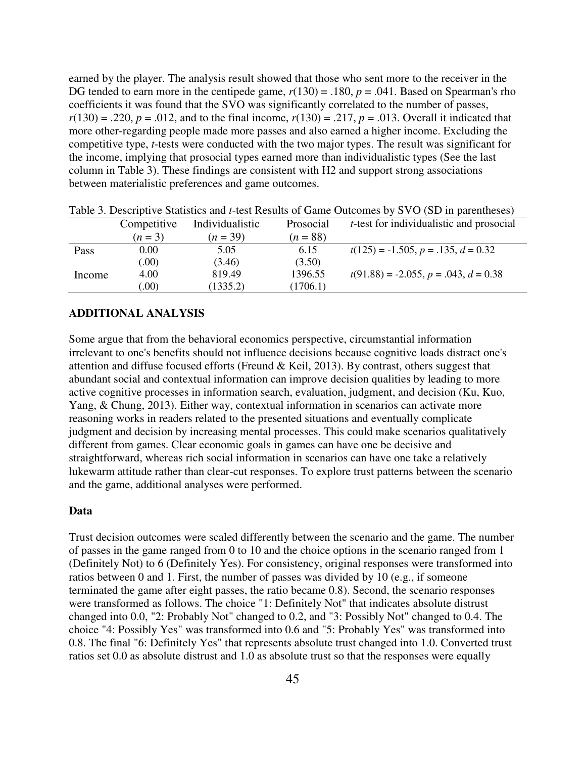earned by the player. The analysis result showed that those who sent more to the receiver in the DG tended to earn more in the centipede game,  $r(130) = .180$ ,  $p = .041$ . Based on Spearman's rho coefficients it was found that the SVO was significantly correlated to the number of passes,  $r(130) = .220$ ,  $p = .012$ , and to the final income,  $r(130) = .217$ ,  $p = .013$ . Overall it indicated that more other-regarding people made more passes and also earned a higher income. Excluding the competitive type, *t*-tests were conducted with the two major types. The result was significant for the income, implying that prosocial types earned more than individualistic types (See the last column in Table 3). These findings are consistent with H2 and support strong associations between materialistic preferences and game outcomes.

|        |             | Tuele of Descriptive Statistics and Flood Results of Santo Succession |            |                                                  |
|--------|-------------|-----------------------------------------------------------------------|------------|--------------------------------------------------|
|        | Competitive | Individualistic                                                       | Prosocial  | <i>t</i> -test for individualistic and prosocial |
|        | $(n=3)$     | $(n=39)$                                                              | $(n = 88)$ |                                                  |
| Pass   | 0.00        | 5.05                                                                  | 6.15       | $t(125) = -1.505, p = .135, d = 0.32$            |
|        | (0.00)      | (3.46)                                                                | (3.50)     |                                                  |
| Income | 4.00        | 819.49                                                                | 1396.55    | $t(91.88) = -2.055, p = .043, d = 0.38$          |
|        | (00)        | (1335.2)                                                              | (1706.1)   |                                                  |

Table 3. Descriptive Statistics and *t*-test Results of Game Outcomes by SVO (SD in parentheses)

#### **ADDITIONAL ANALYSIS**

Some argue that from the behavioral economics perspective, circumstantial information irrelevant to one's benefits should not influence decisions because cognitive loads distract one's attention and diffuse focused efforts (Freund & Keil, 2013). By contrast, others suggest that abundant social and contextual information can improve decision qualities by leading to more active cognitive processes in information search, evaluation, judgment, and decision (Ku, Kuo, Yang, & Chung, 2013). Either way, contextual information in scenarios can activate more reasoning works in readers related to the presented situations and eventually complicate judgment and decision by increasing mental processes. This could make scenarios qualitatively different from games. Clear economic goals in games can have one be decisive and straightforward, whereas rich social information in scenarios can have one take a relatively lukewarm attitude rather than clear-cut responses. To explore trust patterns between the scenario and the game, additional analyses were performed.

#### **Data**

Trust decision outcomes were scaled differently between the scenario and the game. The number of passes in the game ranged from 0 to 10 and the choice options in the scenario ranged from 1 (Definitely Not) to 6 (Definitely Yes). For consistency, original responses were transformed into ratios between 0 and 1. First, the number of passes was divided by 10 (e.g., if someone terminated the game after eight passes, the ratio became 0.8). Second, the scenario responses were transformed as follows. The choice "1: Definitely Not" that indicates absolute distrust changed into 0.0, "2: Probably Not" changed to 0.2, and "3: Possibly Not" changed to 0.4. The choice "4: Possibly Yes" was transformed into 0.6 and "5: Probably Yes" was transformed into 0.8. The final "6: Definitely Yes" that represents absolute trust changed into 1.0. Converted trust ratios set 0.0 as absolute distrust and 1.0 as absolute trust so that the responses were equally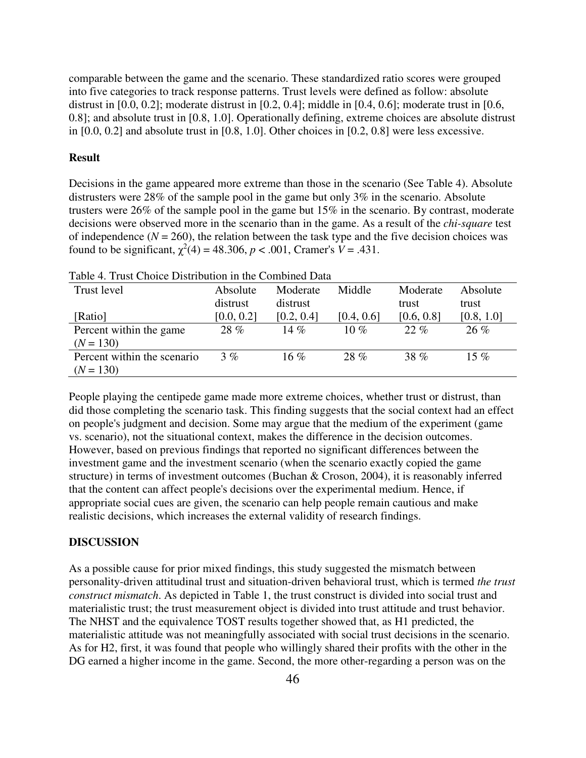comparable between the game and the scenario. These standardized ratio scores were grouped into five categories to track response patterns. Trust levels were defined as follow: absolute distrust in [0.0, 0.2]; moderate distrust in [0.2, 0.4]; middle in [0.4, 0.6]; moderate trust in [0.6, 0.8]; and absolute trust in [0.8, 1.0]. Operationally defining, extreme choices are absolute distrust in [0.0, 0.2] and absolute trust in [0.8, 1.0]. Other choices in [0.2, 0.8] were less excessive.

#### **Result**

Decisions in the game appeared more extreme than those in the scenario (See Table 4). Absolute distrusters were 28% of the sample pool in the game but only 3% in the scenario. Absolute trusters were 26% of the sample pool in the game but 15% in the scenario. By contrast, moderate decisions were observed more in the scenario than in the game. As a result of the *chi-square* test of independence  $(N = 260)$ , the relation between the task type and the five decision choices was found to be significant,  $\chi^2(4) = 48.306$ ,  $p < .001$ , Cramer's  $V = .431$ .

| Tavic 4. Trust Choice Distribution in the Combined Data |            |            |            |            |            |  |  |  |  |
|---------------------------------------------------------|------------|------------|------------|------------|------------|--|--|--|--|
| Trust level                                             | Absolute   | Moderate   | Middle     | Moderate   | Absolute   |  |  |  |  |
|                                                         | distrust   | distrust   |            | trust      | trust      |  |  |  |  |
| [Ratio]                                                 | [0.0, 0.2] | [0.2, 0.4] | [0.4, 0.6] | [0.6, 0.8] | [0.8, 1.0] |  |  |  |  |
| Percent within the game                                 | 28 %       | 14 $\%$    | 10 $\%$    | $22. \%$   | $26\%$     |  |  |  |  |
| $(N = 130)$                                             |            |            |            |            |            |  |  |  |  |
| Percent within the scenario                             | 3%         | 16 $%$     | $28\%$     | 38 %       | 15 $%$     |  |  |  |  |
| $(N = 130)$                                             |            |            |            |            |            |  |  |  |  |

Table 4. Trust Choice Distribution in the Combined Data

People playing the centipede game made more extreme choices, whether trust or distrust, than did those completing the scenario task. This finding suggests that the social context had an effect on people's judgment and decision. Some may argue that the medium of the experiment (game vs. scenario), not the situational context, makes the difference in the decision outcomes. However, based on previous findings that reported no significant differences between the investment game and the investment scenario (when the scenario exactly copied the game structure) in terms of investment outcomes (Buchan & Croson, 2004), it is reasonably inferred that the content can affect people's decisions over the experimental medium. Hence, if appropriate social cues are given, the scenario can help people remain cautious and make realistic decisions, which increases the external validity of research findings.

#### **DISCUSSION**

As a possible cause for prior mixed findings, this study suggested the mismatch between personality-driven attitudinal trust and situation-driven behavioral trust, which is termed *the trust construct mismatch*. As depicted in Table 1, the trust construct is divided into social trust and materialistic trust; the trust measurement object is divided into trust attitude and trust behavior. The NHST and the equivalence TOST results together showed that, as H1 predicted, the materialistic attitude was not meaningfully associated with social trust decisions in the scenario. As for H2, first, it was found that people who willingly shared their profits with the other in the DG earned a higher income in the game. Second, the more other-regarding a person was on the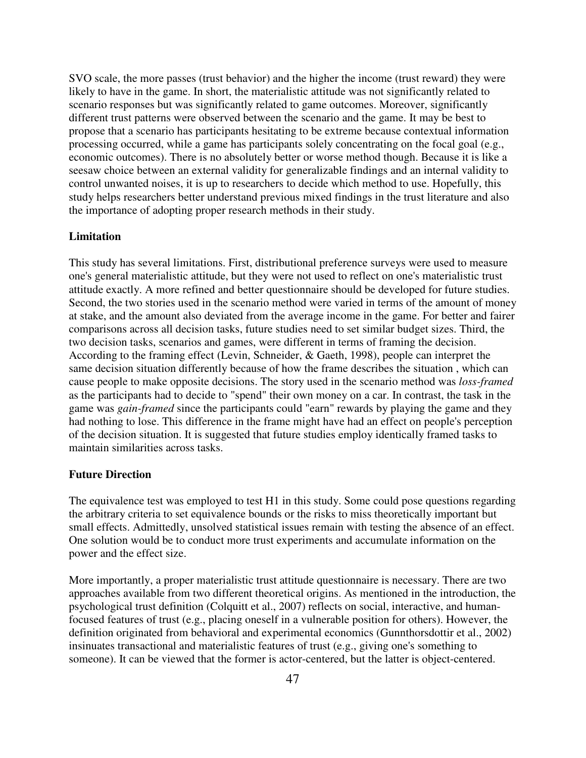SVO scale, the more passes (trust behavior) and the higher the income (trust reward) they were likely to have in the game. In short, the materialistic attitude was not significantly related to scenario responses but was significantly related to game outcomes. Moreover, significantly different trust patterns were observed between the scenario and the game. It may be best to propose that a scenario has participants hesitating to be extreme because contextual information processing occurred, while a game has participants solely concentrating on the focal goal (e.g., economic outcomes). There is no absolutely better or worse method though. Because it is like a seesaw choice between an external validity for generalizable findings and an internal validity to control unwanted noises, it is up to researchers to decide which method to use. Hopefully, this study helps researchers better understand previous mixed findings in the trust literature and also the importance of adopting proper research methods in their study.

## **Limitation**

This study has several limitations. First, distributional preference surveys were used to measure one's general materialistic attitude, but they were not used to reflect on one's materialistic trust attitude exactly. A more refined and better questionnaire should be developed for future studies. Second, the two stories used in the scenario method were varied in terms of the amount of money at stake, and the amount also deviated from the average income in the game. For better and fairer comparisons across all decision tasks, future studies need to set similar budget sizes. Third, the two decision tasks, scenarios and games, were different in terms of framing the decision. According to the framing effect (Levin, Schneider, & Gaeth, 1998), people can interpret the same decision situation differently because of how the frame describes the situation , which can cause people to make opposite decisions. The story used in the scenario method was *loss-framed* as the participants had to decide to "spend" their own money on a car. In contrast, the task in the game was *gain-framed* since the participants could "earn" rewards by playing the game and they had nothing to lose. This difference in the frame might have had an effect on people's perception of the decision situation. It is suggested that future studies employ identically framed tasks to maintain similarities across tasks.

#### **Future Direction**

The equivalence test was employed to test H1 in this study. Some could pose questions regarding the arbitrary criteria to set equivalence bounds or the risks to miss theoretically important but small effects. Admittedly, unsolved statistical issues remain with testing the absence of an effect. One solution would be to conduct more trust experiments and accumulate information on the power and the effect size.

More importantly, a proper materialistic trust attitude questionnaire is necessary. There are two approaches available from two different theoretical origins. As mentioned in the introduction, the psychological trust definition (Colquitt et al., 2007) reflects on social, interactive, and humanfocused features of trust (e.g., placing oneself in a vulnerable position for others). However, the definition originated from behavioral and experimental economics (Gunnthorsdottir et al., 2002) insinuates transactional and materialistic features of trust (e.g., giving one's something to someone). It can be viewed that the former is actor-centered, but the latter is object-centered.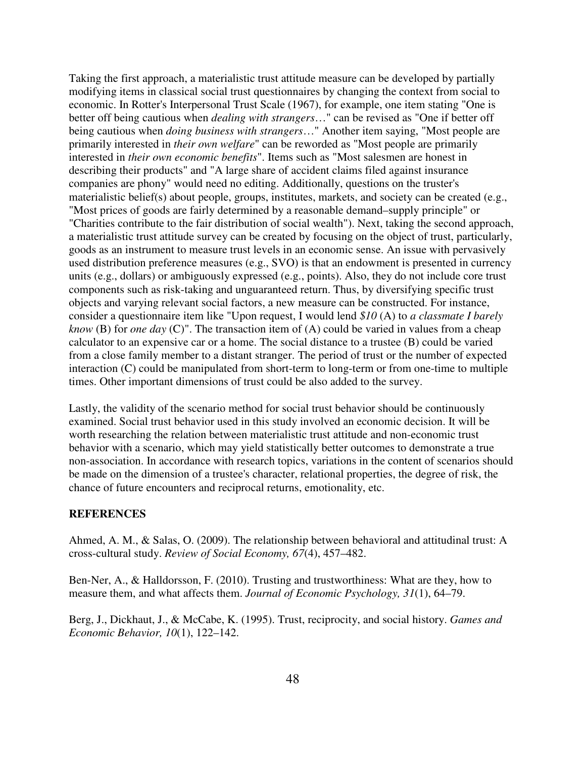Taking the first approach, a materialistic trust attitude measure can be developed by partially modifying items in classical social trust questionnaires by changing the context from social to economic. In Rotter's Interpersonal Trust Scale (1967), for example, one item stating "One is better off being cautious when *dealing with strangers*…" can be revised as "One if better off being cautious when *doing business with strangers*…" Another item saying, "Most people are primarily interested in *their own welfare*" can be reworded as "Most people are primarily interested in *their own economic benefits*". Items such as "Most salesmen are honest in describing their products" and "A large share of accident claims filed against insurance companies are phony" would need no editing. Additionally, questions on the truster's materialistic belief(s) about people, groups, institutes, markets, and society can be created (e.g., "Most prices of goods are fairly determined by a reasonable demand–supply principle" or "Charities contribute to the fair distribution of social wealth"). Next, taking the second approach, a materialistic trust attitude survey can be created by focusing on the object of trust, particularly, goods as an instrument to measure trust levels in an economic sense. An issue with pervasively used distribution preference measures (e.g., SVO) is that an endowment is presented in currency units (e.g., dollars) or ambiguously expressed (e.g., points). Also, they do not include core trust components such as risk-taking and unguaranteed return. Thus, by diversifying specific trust objects and varying relevant social factors, a new measure can be constructed. For instance, consider a questionnaire item like "Upon request, I would lend *\$10* (A) to *a classmate I barely know* (B) for *one day* (C)". The transaction item of (A) could be varied in values from a cheap calculator to an expensive car or a home. The social distance to a trustee (B) could be varied from a close family member to a distant stranger. The period of trust or the number of expected interaction (C) could be manipulated from short-term to long-term or from one-time to multiple times. Other important dimensions of trust could be also added to the survey.

Lastly, the validity of the scenario method for social trust behavior should be continuously examined. Social trust behavior used in this study involved an economic decision. It will be worth researching the relation between materialistic trust attitude and non-economic trust behavior with a scenario, which may yield statistically better outcomes to demonstrate a true non-association. In accordance with research topics, variations in the content of scenarios should be made on the dimension of a trustee's character, relational properties, the degree of risk, the chance of future encounters and reciprocal returns, emotionality, etc.

## **REFERENCES**

Ahmed, A. M., & Salas, O. (2009). The relationship between behavioral and attitudinal trust: A cross-cultural study. *Review of Social Economy, 67*(4), 457–482.

Ben-Ner, A., & Halldorsson, F. (2010). Trusting and trustworthiness: What are they, how to measure them, and what affects them. *Journal of Economic Psychology, 31*(1), 64–79.

Berg, J., Dickhaut, J., & McCabe, K. (1995). Trust, reciprocity, and social history. *Games and Economic Behavior, 10*(1), 122–142.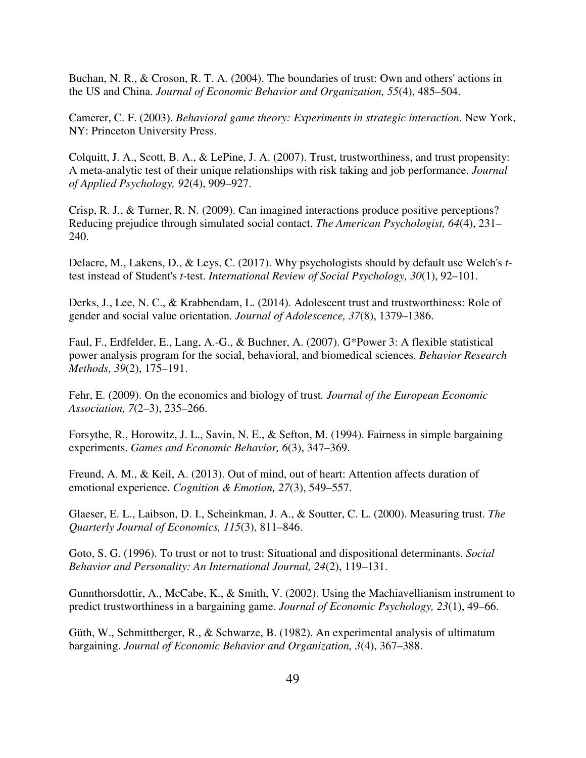Buchan, N. R., & Croson, R. T. A. (2004). The boundaries of trust: Own and others' actions in the US and China. *Journal of Economic Behavior and Organization, 55*(4), 485–504.

Camerer, C. F. (2003). *Behavioral game theory: Experiments in strategic interaction*. New York, NY: Princeton University Press.

Colquitt, J. A., Scott, B. A., & LePine, J. A. (2007). Trust, trustworthiness, and trust propensity: A meta-analytic test of their unique relationships with risk taking and job performance. *Journal of Applied Psychology, 92*(4), 909–927.

Crisp, R. J., & Turner, R. N. (2009). Can imagined interactions produce positive perceptions? Reducing prejudice through simulated social contact. *The American Psychologist, 64*(4), 231– 240.

Delacre, M., Lakens, D., & Leys, C. (2017). Why psychologists should by default use Welch's *t*test instead of Student's *t*-test. *International Review of Social Psychology, 30*(1), 92–101.

Derks, J., Lee, N. C., & Krabbendam, L. (2014). Adolescent trust and trustworthiness: Role of gender and social value orientation*. Journal of Adolescence, 37*(8), 1379–1386.

Faul, F., Erdfelder, E., Lang, A.-G., & Buchner, A. (2007). G\*Power 3: A flexible statistical power analysis program for the social, behavioral, and biomedical sciences. *Behavior Research Methods, 39*(2), 175–191.

Fehr, E. (2009). On the economics and biology of trust*. Journal of the European Economic Association, 7*(2–3), 235–266.

Forsythe, R., Horowitz, J. L., Savin, N. E., & Sefton, M. (1994). Fairness in simple bargaining experiments. *Games and Economic Behavior, 6*(3), 347–369.

Freund, A. M., & Keil, A. (2013). Out of mind, out of heart: Attention affects duration of emotional experience. *Cognition & Emotion, 27*(3), 549–557.

Glaeser, E. L., Laibson, D. I., Scheinkman, J. A., & Soutter, C. L. (2000). Measuring trust. *The Quarterly Journal of Economics, 115*(3), 811–846.

Goto, S. G. (1996). To trust or not to trust: Situational and dispositional determinants. *Social Behavior and Personality: An International Journal, 24*(2), 119–131.

Gunnthorsdottir, A., McCabe, K., & Smith, V. (2002). Using the Machiavellianism instrument to predict trustworthiness in a bargaining game. *Journal of Economic Psychology, 23*(1), 49–66.

Güth, W., Schmittberger, R., & Schwarze, B. (1982). An experimental analysis of ultimatum bargaining. *Journal of Economic Behavior and Organization, 3*(4), 367–388.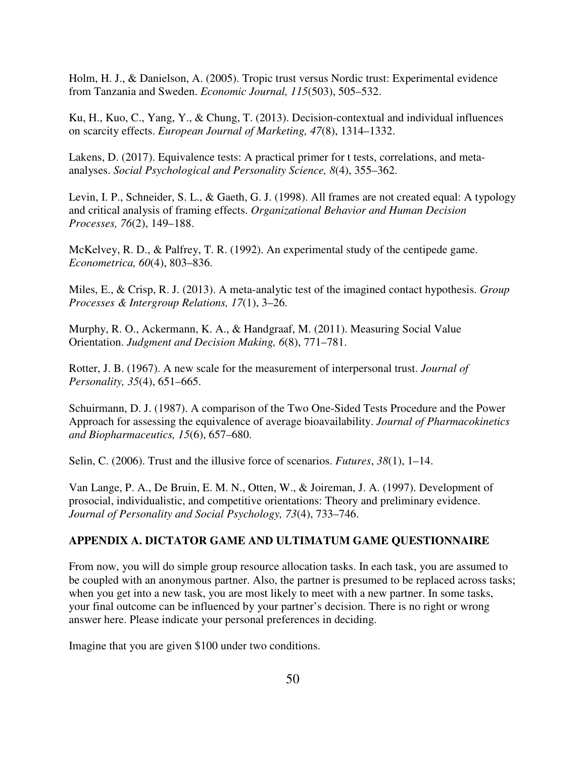Holm, H. J., & Danielson, A. (2005). Tropic trust versus Nordic trust: Experimental evidence from Tanzania and Sweden. *Economic Journal, 115*(503), 505–532.

Ku, H., Kuo, C., Yang, Y., & Chung, T. (2013). Decision-contextual and individual influences on scarcity effects. *European Journal of Marketing, 47*(8), 1314–1332.

Lakens, D. (2017). Equivalence tests: A practical primer for t tests, correlations, and metaanalyses. *Social Psychological and Personality Science, 8*(4), 355–362.

Levin, I. P., Schneider, S. L., & Gaeth, G. J. (1998). All frames are not created equal: A typology and critical analysis of framing effects. *Organizational Behavior and Human Decision Processes, 76*(2), 149–188.

McKelvey, R. D., & Palfrey, T. R. (1992). An experimental study of the centipede game. *Econometrica, 60*(4), 803–836.

Miles, E., & Crisp, R. J. (2013). A meta-analytic test of the imagined contact hypothesis. *Group Processes & Intergroup Relations, 17*(1), 3–26.

Murphy, R. O., Ackermann, K. A., & Handgraaf, M. (2011). Measuring Social Value Orientation. *Judgment and Decision Making, 6*(8), 771–781.

Rotter, J. B. (1967). A new scale for the measurement of interpersonal trust. *Journal of Personality, 35*(4), 651–665.

Schuirmann, D. J. (1987). A comparison of the Two One-Sided Tests Procedure and the Power Approach for assessing the equivalence of average bioavailability. *Journal of Pharmacokinetics and Biopharmaceutics, 15*(6), 657–680.

Selin, C. (2006). Trust and the illusive force of scenarios. *Futures*, *38*(1), 1–14.

Van Lange, P. A., De Bruin, E. M. N., Otten, W., & Joireman, J. A. (1997). Development of prosocial, individualistic, and competitive orientations: Theory and preliminary evidence. *Journal of Personality and Social Psychology, 73*(4), 733–746.

#### **APPENDIX A. DICTATOR GAME AND ULTIMATUM GAME QUESTIONNAIRE**

From now, you will do simple group resource allocation tasks. In each task, you are assumed to be coupled with an anonymous partner. Also, the partner is presumed to be replaced across tasks; when you get into a new task, you are most likely to meet with a new partner. In some tasks, your final outcome can be influenced by your partner's decision. There is no right or wrong answer here. Please indicate your personal preferences in deciding.

Imagine that you are given \$100 under two conditions.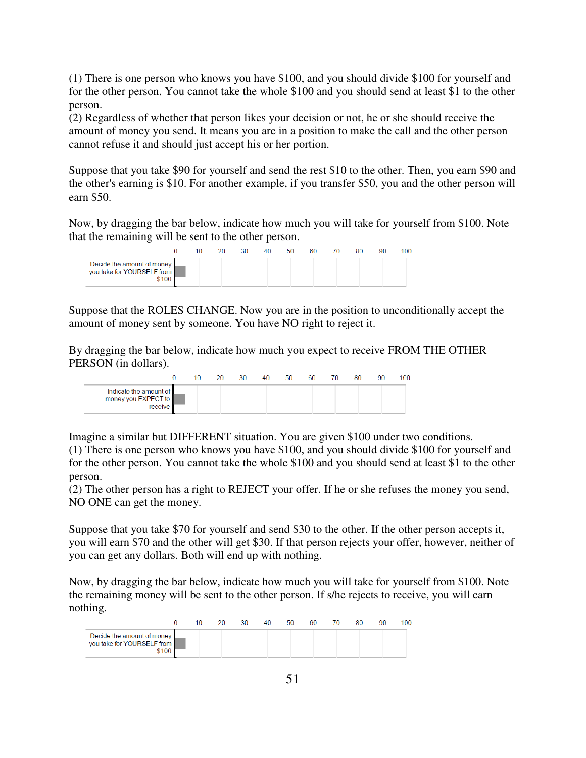(1) There is one person who knows you have \$100, and you should divide \$100 for yourself and for the other person. You cannot take the whole \$100 and you should send at least \$1 to the other person.

(2) Regardless of whether that person likes your decision or not, he or she should receive the amount of money you send. It means you are in a position to make the call and the other person cannot refuse it and should just accept his or her portion.

Suppose that you take \$90 for yourself and send the rest \$10 to the other. Then, you earn \$90 and the other's earning is \$10. For another example, if you transfer \$50, you and the other person will earn \$50.

Now, by dragging the bar below, indicate how much you will take for yourself from \$100. Note that the remaining will be sent to the other person.

|                                                                   | 10 | 20. | 30 | 40 | 50 | 60 | 70. | 80 | 90 | 100 |
|-------------------------------------------------------------------|----|-----|----|----|----|----|-----|----|----|-----|
| Decide the amount of money<br>you take for YOURSELF from<br>\$100 |    |     |    |    |    |    |     |    |    |     |

Suppose that the ROLES CHANGE. Now you are in the position to unconditionally accept the amount of money sent by someone. You have NO right to reject it.

By dragging the bar below, indicate how much you expect to receive FROM THE OTHER PERSON (in dollars).

|                                                          | 10 | 20 | 30 | 40 | 50 | 60 | 70 | 80 | 90 | 100 |
|----------------------------------------------------------|----|----|----|----|----|----|----|----|----|-----|
| Indicate the amount of<br>money you EXPECT to<br>receive |    |    |    |    |    |    |    |    |    |     |

Imagine a similar but DIFFERENT situation. You are given \$100 under two conditions.

(1) There is one person who knows you have \$100, and you should divide \$100 for yourself and for the other person. You cannot take the whole \$100 and you should send at least \$1 to the other person.

(2) The other person has a right to REJECT your offer. If he or she refuses the money you send, NO ONE can get the money.

Suppose that you take \$70 for yourself and send \$30 to the other. If the other person accepts it, you will earn \$70 and the other will get \$30. If that person rejects your offer, however, neither of you can get any dollars. Both will end up with nothing.

Now, by dragging the bar below, indicate how much you will take for yourself from \$100. Note the remaining money will be sent to the other person. If s/he rejects to receive, you will earn nothing.

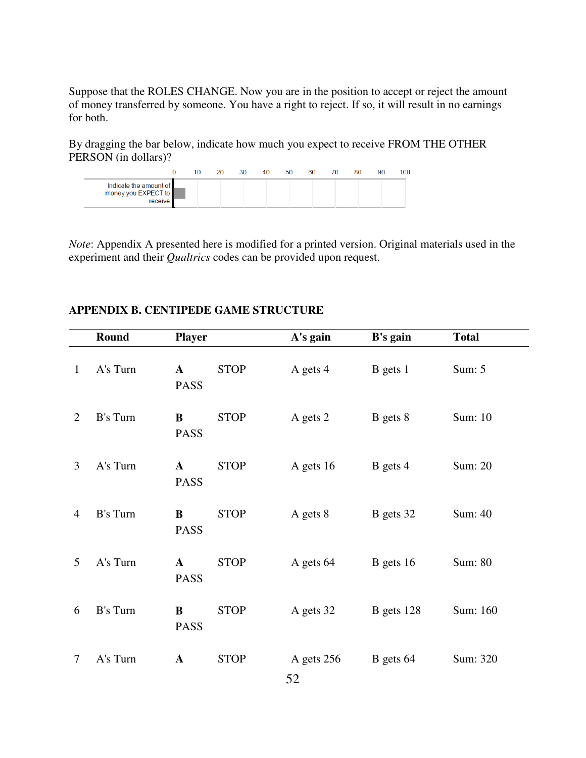Suppose that the ROLES CHANGE. Now you are in the position to accept or reject the amount of money transferred by someone. You have a right to reject. If so, it will result in no earnings for both.

By dragging the bar below, indicate how much you expect to receive FROM THE OTHER PERSON (in dollars)?

|                                                          | 10 | 20 | 30 | 40 | 50 | 60 | 70. | 80 | 90 | 100 |
|----------------------------------------------------------|----|----|----|----|----|----|-----|----|----|-----|
| Indicate the amount of<br>money you EXPECT to<br>receive |    |    |    |    |    |    |     |    |    |     |

*Note*: Appendix A presented here is modified for a printed version. Original materials used in the experiment and their *Qualtrics* codes can be provided upon request.

# **APPENDIX B. CENTIPEDE GAME STRUCTURE**

|              | Round           | <b>Player</b>               |             | A's gain         | B's gain     | <b>Total</b> |
|--------------|-----------------|-----------------------------|-------------|------------------|--------------|--------------|
| $\mathbf{1}$ | A's Turn        | $\mathbf{A}$<br><b>PASS</b> | <b>STOP</b> | A gets 4         | B gets 1     | Sum: $5$     |
| 2            | <b>B's Turn</b> | $\bf{B}$<br><b>PASS</b>     | <b>STOP</b> | A gets 2         | B gets 8     | Sum: 10      |
| 3            | A's Turn        | $\mathbf{A}$<br><b>PASS</b> | <b>STOP</b> | A gets 16        | B gets 4     | Sum: 20      |
| 4            | B's Turn        | B<br><b>PASS</b>            | <b>STOP</b> | A gets 8         | B gets 32    | Sum: 40      |
| 5            | A's Turn        | $\mathbf{A}$<br><b>PASS</b> | <b>STOP</b> | A gets 64        | $B$ gets 16  | Sum: 80      |
| 6            | B's Turn        | $\bf{B}$<br><b>PASS</b>     | <b>STOP</b> | A gets 32        | $B$ gets 128 | Sum: 160     |
| $\tau$       | A's Turn        | $\mathbf A$                 | <b>STOP</b> | A gets 256<br>52 | B gets 64    | Sum: 320     |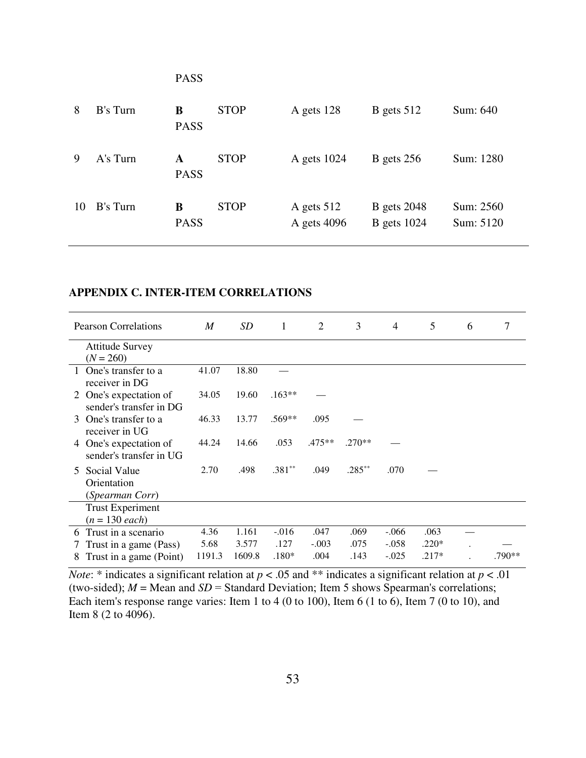|    |          | <b>PASS</b>      |             |                             |                                          |                        |
|----|----------|------------------|-------------|-----------------------------|------------------------------------------|------------------------|
| 8  | B's Turn | B<br><b>PASS</b> | <b>STOP</b> | A gets 128                  | B gets $512$                             | Sum: 640               |
| 9  | A's Turn | A<br><b>PASS</b> | <b>STOP</b> | A gets 1024                 | $B$ gets 256                             | Sum: 1280              |
| 10 | B's Turn | B<br><b>PASS</b> | <b>STOP</b> | A gets $512$<br>A gets 4096 | <b>B</b> gets 2048<br><b>B</b> gets 1024 | Sum: 2560<br>Sum: 5120 |

# **APPENDIX C. INTER-ITEM CORRELATIONS**

| <b>Pearson Correlations</b>                                       | M      | SD     | 1        | 2        | 3         | 4       | 5       | 6 | 7      |
|-------------------------------------------------------------------|--------|--------|----------|----------|-----------|---------|---------|---|--------|
| <b>Attitude Survey</b><br>$(N = 260)$                             |        |        |          |          |           |         |         |   |        |
| One's transfer to a<br>receiver in DG                             | 41.07  | 18.80  |          |          |           |         |         |   |        |
| One's expectation of<br>$\mathbb{Z}^-$<br>sender's transfer in DG | 34.05  | 19.60  | $.163**$ |          |           |         |         |   |        |
| One's transfer to a<br>3<br>receiver in UG                        | 46.33  | 13.77  | .569**   | .095     |           |         |         |   |        |
| 4 One's expectation of<br>sender's transfer in UG                 | 44.24  | 14.66  | .053     | $.475**$ | $.270**$  |         |         |   |        |
| Social Value<br>5<br>Orientation<br>(Spearman Corr)               | 2.70   | .498   | $.381**$ | .049     | $.285***$ | .070    |         |   |        |
| <b>Trust Experiment</b><br>$(n = 130$ each)                       |        |        |          |          |           |         |         |   |        |
| Trust in a scenario<br>6                                          | 4.36   | 1.161  | $-.016$  | .047     | .069      | $-.066$ | .063    |   |        |
| Trust in a game (Pass)                                            | 5.68   | 3.577  | .127     | $-.003$  | .075      | $-.058$ | $.220*$ |   |        |
| Trust in a game (Point)<br>8                                      | 1191.3 | 1609.8 | $.180*$  | .004     | .143      | $-.025$ | .217*   |   | .790** |

*Note*: \* indicates a significant relation at  $p < .05$  and \*\* indicates a significant relation at  $p < .01$ (two-sided);  $M = \text{Mean}$  and  $SD = \text{Standard Deviation}$ ; Item 5 shows Spearman's correlations; Each item's response range varies: Item 1 to 4 (0 to 100), Item 6 (1 to 6), Item 7 (0 to 10), and Item 8 (2 to 4096).